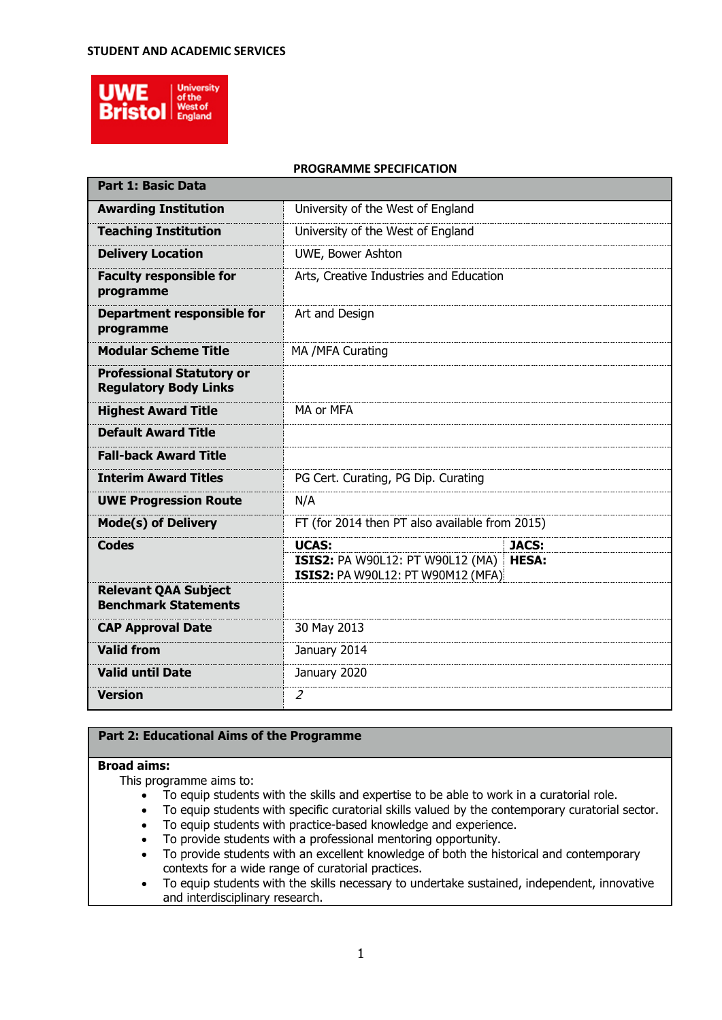### **STUDENT AND ACADEMIC SERVICES**



#### **PROGRAMME SPECIFICATION**

| <b>Part 1: Basic Data</b>                                        |                                                                                     |              |
|------------------------------------------------------------------|-------------------------------------------------------------------------------------|--------------|
| <b>Awarding Institution</b>                                      | University of the West of England                                                   |              |
| <b>Teaching Institution</b>                                      | University of the West of England                                                   |              |
| <b>Delivery Location</b>                                         | UWE, Bower Ashton                                                                   |              |
| <b>Faculty responsible for</b><br>programme                      | Arts, Creative Industries and Education                                             |              |
| <b>Department responsible for</b><br>programme                   | Art and Design                                                                      |              |
| <b>Modular Scheme Title</b>                                      | MA /MFA Curating                                                                    |              |
| <b>Professional Statutory or</b><br><b>Regulatory Body Links</b> |                                                                                     |              |
| <b>Highest Award Title</b>                                       | MA or MFA                                                                           |              |
| <b>Default Award Title</b>                                       |                                                                                     |              |
| <b>Fall-back Award Title</b>                                     |                                                                                     |              |
| <b>Interim Award Titles</b>                                      | PG Cert. Curating, PG Dip. Curating                                                 |              |
| <b>UWE Progression Route</b>                                     | N/A                                                                                 |              |
| <b>Mode(s) of Delivery</b>                                       | FT (for 2014 then PT also available from 2015)                                      |              |
| <b>Codes</b>                                                     | <b>UCAS:</b>                                                                        | <b>JACS:</b> |
|                                                                  | <b>ISIS2: PA W90L12: PT W90L12 (MA)</b><br><b>ISIS2: PA W90L12: PT W90M12 (MFA)</b> | <b>HESA:</b> |
| <b>Relevant QAA Subject</b><br><b>Benchmark Statements</b>       |                                                                                     |              |
| <b>CAP Approval Date</b>                                         | 30 May 2013                                                                         |              |
| <b>Valid from</b>                                                | January 2014                                                                        |              |
| <b>Valid until Date</b>                                          | January 2020                                                                        |              |
| <b>Version</b>                                                   | $\overline{2}$                                                                      |              |

# **Part 2: Educational Aims of the Programme**

### **Broad aims:**

This programme aims to:

- To equip students with the skills and expertise to be able to work in a curatorial role.
- To equip students with specific curatorial skills valued by the contemporary curatorial sector.
- To equip students with practice-based knowledge and experience.
- To provide students with a professional mentoring opportunity.
- To provide students with an excellent knowledge of both the historical and contemporary contexts for a wide range of curatorial practices.
- $\bullet$  To equip students with the skills necessary to undertake sustained, independent, innovative and interdisciplinary research.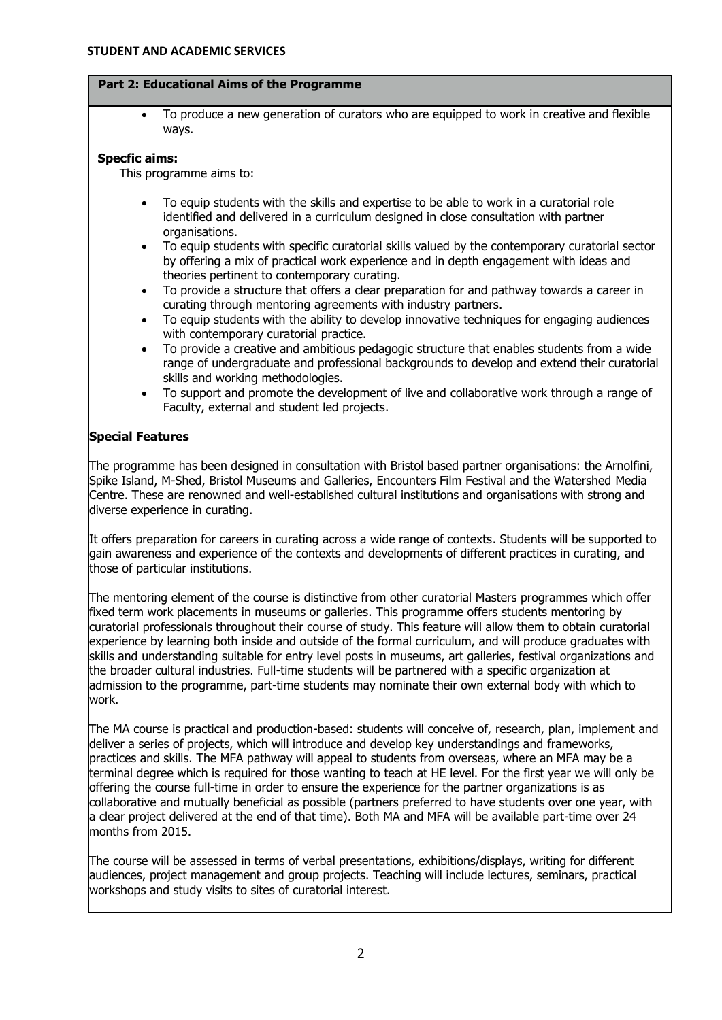#### **Part 2: Educational Aims of the Programme**

 To produce a new generation of curators who are equipped to work in creative and flexible ways.

### **Specfic aims:**

This programme aims to:

- To equip students with the skills and expertise to be able to work in a curatorial role identified and delivered in a curriculum designed in close consultation with partner organisations.
- To equip students with specific curatorial skills valued by the contemporary curatorial sector by offering a mix of practical work experience and in depth engagement with ideas and theories pertinent to contemporary curating.
- To provide a structure that offers a clear preparation for and pathway towards a career in curating through mentoring agreements with industry partners.
- To equip students with the ability to develop innovative techniques for engaging audiences with contemporary curatorial practice.
- To provide a creative and ambitious pedagogic structure that enables students from a wide range of undergraduate and professional backgrounds to develop and extend their curatorial skills and working methodologies.
- To support and promote the development of live and collaborative work through a range of Faculty, external and student led projects.

# **Special Features**

The programme has been designed in consultation with Bristol based partner organisations: the Arnolfini, Spike Island, M-Shed, Bristol Museums and Galleries, Encounters Film Festival and the Watershed Media Centre. These are renowned and well-established cultural institutions and organisations with strong and diverse experience in curating.

It offers preparation for careers in curating across a wide range of contexts. Students will be supported to gain awareness and experience of the contexts and developments of different practices in curating, and those of particular institutions.

The mentoring element of the course is distinctive from other curatorial Masters programmes which offer fixed term work placements in museums or galleries. This programme offers students mentoring by curatorial professionals throughout their course of study. This feature will allow them to obtain curatorial experience by learning both inside and outside of the formal curriculum, and will produce graduates with skills and understanding suitable for entry level posts in museums, art galleries, festival organizations and the broader cultural industries. Full-time students will be partnered with a specific organization at admission to the programme, part-time students may nominate their own external body with which to work.

The MA course is practical and production-based: students will conceive of, research, plan, implement and deliver a series of projects, which will introduce and develop key understandings and frameworks, practices and skills. The MFA pathway will appeal to students from overseas, where an MFA may be a terminal degree which is required for those wanting to teach at HE level. For the first year we will only be offering the course full-time in order to ensure the experience for the partner organizations is as collaborative and mutually beneficial as possible (partners preferred to have students over one year, with a clear project delivered at the end of that time). Both MA and MFA will be available part-time over 24 months from 2015.

The course will be assessed in terms of verbal presentations, exhibitions/displays, writing for different audiences, project management and group projects. Teaching will include lectures, seminars, practical workshops and study visits to sites of curatorial interest.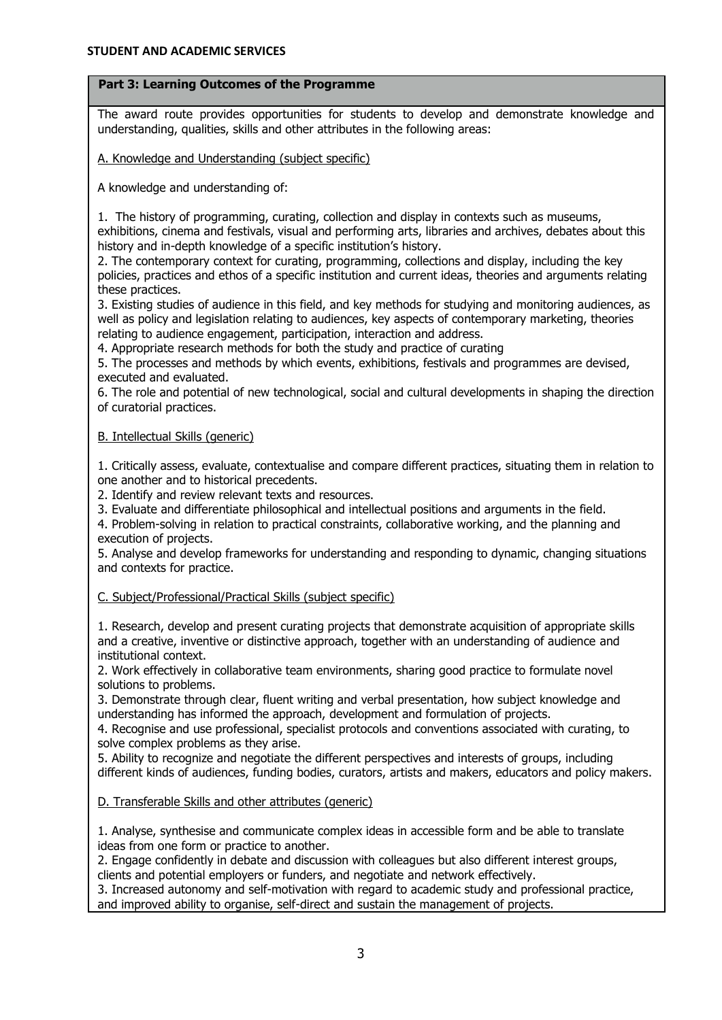# **Part 3: Learning Outcomes of the Programme**

The award route provides opportunities for students to develop and demonstrate knowledge and understanding, qualities, skills and other attributes in the following areas:

A. Knowledge and Understanding (subject specific)

A knowledge and understanding of:

1. The history of programming, curating, collection and display in contexts such as museums,

exhibitions, cinema and festivals, visual and performing arts, libraries and archives, debates about this history and in-depth knowledge of a specific institution's history.

2. The contemporary context for curating, programming, collections and display, including the key policies, practices and ethos of a specific institution and current ideas, theories and arguments relating these practices.

3. Existing studies of audience in this field, and key methods for studying and monitoring audiences, as well as policy and legislation relating to audiences, key aspects of contemporary marketing, theories relating to audience engagement, participation, interaction and address.

4. Appropriate research methods for both the study and practice of curating

5. The processes and methods by which events, exhibitions, festivals and programmes are devised, executed and evaluated.

6. The role and potential of new technological, social and cultural developments in shaping the direction of curatorial practices.

# B. Intellectual Skills (generic)

1. Critically assess, evaluate, contextualise and compare different practices, situating them in relation to one another and to historical precedents.

2. Identify and review relevant texts and resources.

3. Evaluate and differentiate philosophical and intellectual positions and arguments in the field.

4. Problem-solving in relation to practical constraints, collaborative working, and the planning and execution of projects.

5. Analyse and develop frameworks for understanding and responding to dynamic, changing situations and contexts for practice.

C. Subject/Professional/Practical Skills (subject specific)

1. Research, develop and present curating projects that demonstrate acquisition of appropriate skills and a creative, inventive or distinctive approach, together with an understanding of audience and institutional context.

2. Work effectively in collaborative team environments, sharing good practice to formulate novel solutions to problems.

3. Demonstrate through clear, fluent writing and verbal presentation, how subject knowledge and understanding has informed the approach, development and formulation of projects.

4. Recognise and use professional, specialist protocols and conventions associated with curating, to solve complex problems as they arise.

5. Ability to recognize and negotiate the different perspectives and interests of groups, including different kinds of audiences, funding bodies, curators, artists and makers, educators and policy makers.

D. Transferable Skills and other attributes (generic)

1. Analyse, synthesise and communicate complex ideas in accessible form and be able to translate ideas from one form or practice to another.

2. Engage confidently in debate and discussion with colleagues but also different interest groups, clients and potential employers or funders, and negotiate and network effectively.

3. Increased autonomy and self-motivation with regard to academic study and professional practice, and improved ability to organise, self-direct and sustain the management of projects.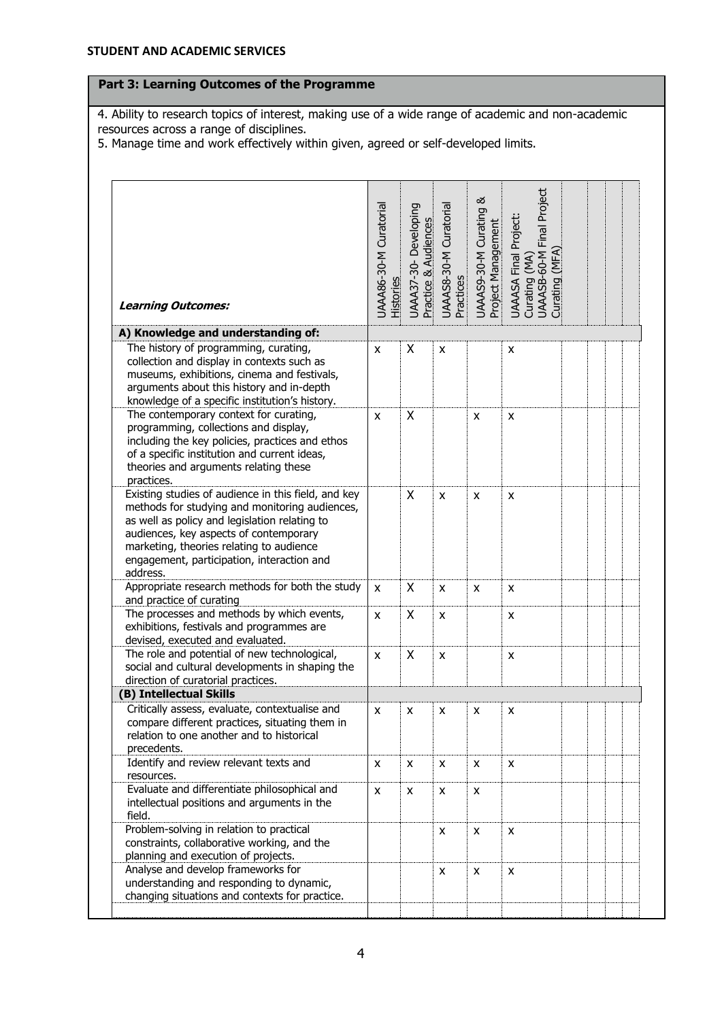# **Part 3: Learning Outcomes of the Programme**

4. Ability to research topics of interest, making use of a wide range of academic and non-academic resources across a range of disciplines.

5. Manage time and work effectively within given, agreed or self-developed limits.

| <b>Learning Outcomes:</b>                                                                                                                                                                                                                                                                              | UAAA86-30-M Curatorial<br>Histories | UAAA37-30-Developing<br>Practice & Audiences | UAAAS8-30-M Curatorial<br>Practices | UAAAS9-30-M Curating &<br>Project Management | UAAASA Final Project:<br>Curating (MA)<br>UAAASB-60-M Final Project<br>Curating (MFA) |
|--------------------------------------------------------------------------------------------------------------------------------------------------------------------------------------------------------------------------------------------------------------------------------------------------------|-------------------------------------|----------------------------------------------|-------------------------------------|----------------------------------------------|---------------------------------------------------------------------------------------|
|                                                                                                                                                                                                                                                                                                        |                                     |                                              |                                     |                                              |                                                                                       |
| A) Knowledge and understanding of:                                                                                                                                                                                                                                                                     |                                     |                                              |                                     |                                              |                                                                                       |
| The history of programming, curating,<br>collection and display in contexts such as<br>museums, exhibitions, cinema and festivals,<br>arguments about this history and in-depth<br>knowledge of a specific institution's history.                                                                      | X                                   | X                                            | X                                   |                                              | x                                                                                     |
| The contemporary context for curating,<br>programming, collections and display,<br>including the key policies, practices and ethos<br>of a specific institution and current ideas,<br>theories and arguments relating these<br>practices.                                                              | X                                   | Χ                                            |                                     | x                                            | x                                                                                     |
| Existing studies of audience in this field, and key<br>methods for studying and monitoring audiences,<br>as well as policy and legislation relating to<br>audiences, key aspects of contemporary<br>marketing, theories relating to audience<br>engagement, participation, interaction and<br>address. |                                     | X                                            | X                                   | x                                            | x                                                                                     |
| Appropriate research methods for both the study<br>and practice of curating                                                                                                                                                                                                                            | X                                   | X                                            | x                                   | x                                            | x                                                                                     |
| The processes and methods by which events,<br>exhibitions, festivals and programmes are<br>devised, executed and evaluated.                                                                                                                                                                            | X                                   | X                                            | X                                   |                                              | X                                                                                     |
| The role and potential of new technological,<br>social and cultural developments in shaping the<br>direction of curatorial practices.                                                                                                                                                                  | X                                   | X                                            | X                                   |                                              | x                                                                                     |
| (B) Intellectual Skills                                                                                                                                                                                                                                                                                |                                     |                                              |                                     |                                              |                                                                                       |
| Critically assess, evaluate, contextualise and<br>compare different practices, situating them in<br>relation to one another and to historical<br>precedents.                                                                                                                                           | х                                   | х                                            | х                                   | х                                            | х                                                                                     |
| Identify and review relevant texts and<br>resources.                                                                                                                                                                                                                                                   | X                                   | X                                            | X                                   | X                                            | x                                                                                     |
| Evaluate and differentiate philosophical and<br>intellectual positions and arguments in the<br>field.                                                                                                                                                                                                  | X                                   | X                                            | X                                   | X                                            |                                                                                       |
| Problem-solving in relation to practical<br>constraints, collaborative working, and the<br>planning and execution of projects.                                                                                                                                                                         |                                     |                                              | X                                   | X                                            | X                                                                                     |
| Analyse and develop frameworks for<br>understanding and responding to dynamic,<br>changing situations and contexts for practice.                                                                                                                                                                       |                                     |                                              | X                                   | X                                            | X                                                                                     |
|                                                                                                                                                                                                                                                                                                        |                                     |                                              |                                     |                                              |                                                                                       |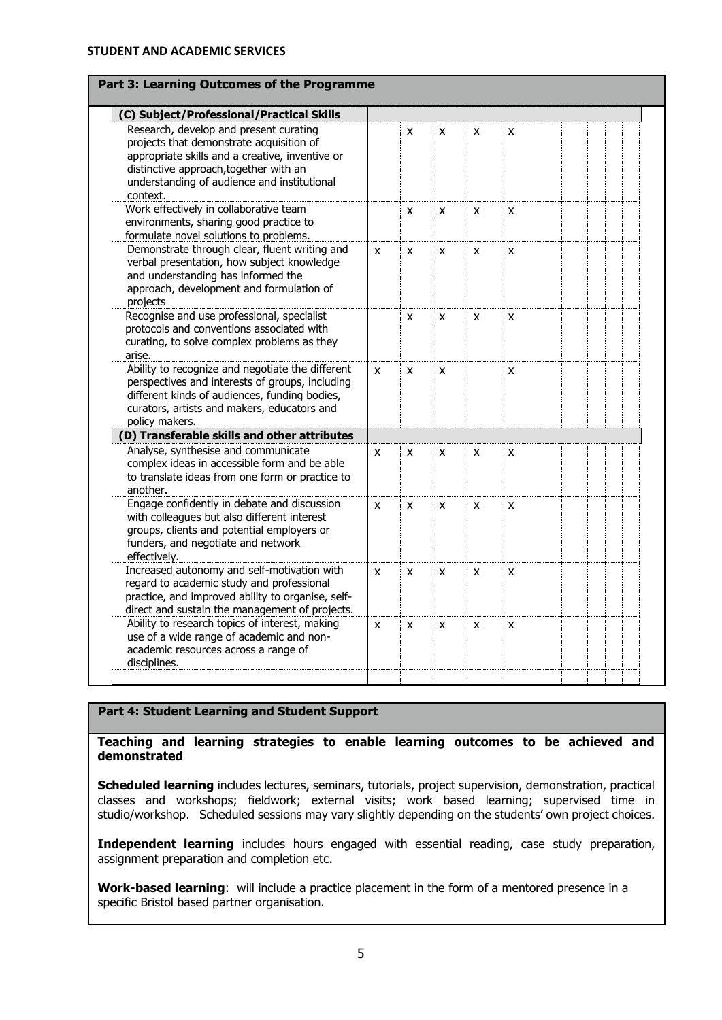| Part 3: Learning Outcomes of the Programme                                                                                                                                                                                                 |   |   |   |   |   |  |  |
|--------------------------------------------------------------------------------------------------------------------------------------------------------------------------------------------------------------------------------------------|---|---|---|---|---|--|--|
| (C) Subject/Professional/Practical Skills                                                                                                                                                                                                  |   |   |   |   |   |  |  |
| Research, develop and present curating<br>projects that demonstrate acquisition of<br>appropriate skills and a creative, inventive or<br>distinctive approach, together with an<br>understanding of audience and institutional<br>context. |   | X | X | X | X |  |  |
| Work effectively in collaborative team<br>environments, sharing good practice to<br>formulate novel solutions to problems.                                                                                                                 |   | X | X | X | X |  |  |
| Demonstrate through clear, fluent writing and<br>verbal presentation, how subject knowledge<br>and understanding has informed the<br>approach, development and formulation of<br>projects                                                  | X | X | X | X | X |  |  |
| Recognise and use professional, specialist<br>protocols and conventions associated with<br>curating, to solve complex problems as they<br>arise.                                                                                           |   | X | X | X | X |  |  |
| Ability to recognize and negotiate the different<br>perspectives and interests of groups, including<br>different kinds of audiences, funding bodies,<br>curators, artists and makers, educators and<br>policy makers.                      | X | X | X |   | X |  |  |
| (D) Transferable skills and other attributes                                                                                                                                                                                               |   |   |   |   |   |  |  |
| Analyse, synthesise and communicate<br>complex ideas in accessible form and be able<br>to translate ideas from one form or practice to<br>another.                                                                                         | X | X | X | x | X |  |  |
| Engage confidently in debate and discussion<br>with colleagues but also different interest<br>groups, clients and potential employers or<br>funders, and negotiate and network<br>effectively.                                             | X | X | X | X | X |  |  |
| Increased autonomy and self-motivation with<br>regard to academic study and professional<br>practice, and improved ability to organise, self-<br>direct and sustain the management of projects.                                            | X | X | X | X | X |  |  |
| Ability to research topics of interest, making<br>use of a wide range of academic and non-<br>academic resources across a range of<br>disciplines.                                                                                         | X | X | X | X | X |  |  |

## **Part 4: Student Learning and Student Support**

**Teaching and learning strategies to enable learning outcomes to be achieved and demonstrated**

**Scheduled learning** includes lectures, seminars, tutorials, project supervision, demonstration, practical classes and workshops; fieldwork; external visits; work based learning; supervised time in studio/workshop. Scheduled sessions may vary slightly depending on the students' own project choices.

**Independent learning** includes hours engaged with essential reading, case study preparation, assignment preparation and completion etc.

**Work-based learning**: will include a practice placement in the form of a mentored presence in a specific Bristol based partner organisation.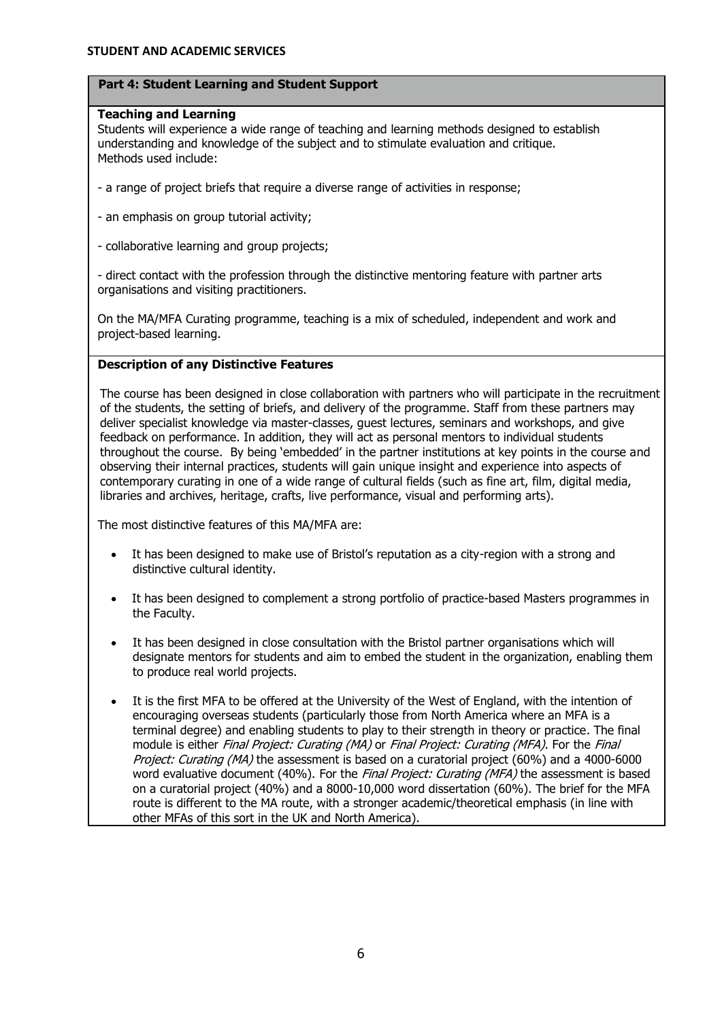### **Part 4: Student Learning and Student Support**

### **Teaching and Learning**

Students will experience a wide range of teaching and learning methods designed to establish understanding and knowledge of the subject and to stimulate evaluation and critique. Methods used include:

- a range of project briefs that require a diverse range of activities in response;
- an emphasis on group tutorial activity;
- collaborative learning and group projects;

- direct contact with the profession through the distinctive mentoring feature with partner arts organisations and visiting practitioners.

On the MA/MFA Curating programme, teaching is a mix of scheduled, independent and work and project-based learning.

# **Description of any Distinctive Features**

The course has been designed in close collaboration with partners who will participate in the recruitment of the students, the setting of briefs, and delivery of the programme. Staff from these partners may deliver specialist knowledge via master-classes, guest lectures, seminars and workshops, and give feedback on performance. In addition, they will act as personal mentors to individual students throughout the course. By being 'embedded' in the partner institutions at key points in the course and observing their internal practices, students will gain unique insight and experience into aspects of contemporary curating in one of a wide range of cultural fields (such as fine art, film, digital media, libraries and archives, heritage, crafts, live performance, visual and performing arts).

The most distinctive features of this MA/MFA are:

- It has been designed to make use of Bristol's reputation as a city-region with a strong and distinctive cultural identity.
- It has been designed to complement a strong portfolio of practice-based Masters programmes in the Faculty.
- It has been designed in close consultation with the Bristol partner organisations which will designate mentors for students and aim to embed the student in the organization, enabling them to produce real world projects.
- It is the first MFA to be offered at the University of the West of England, with the intention of encouraging overseas students (particularly those from North America where an MFA is a terminal degree) and enabling students to play to their strength in theory or practice. The final module is either Final Project: Curating (MA) or Final Project: Curating (MFA). For the Final Project: Curating (MA) the assessment is based on a curatorial project (60%) and a 4000-6000 word evaluative document (40%). For the Final Project: Curating (MFA) the assessment is based on a curatorial project (40%) and a 8000-10,000 word dissertation (60%). The brief for the MFA route is different to the MA route, with a stronger academic/theoretical emphasis (in line with other MFAs of this sort in the UK and North America).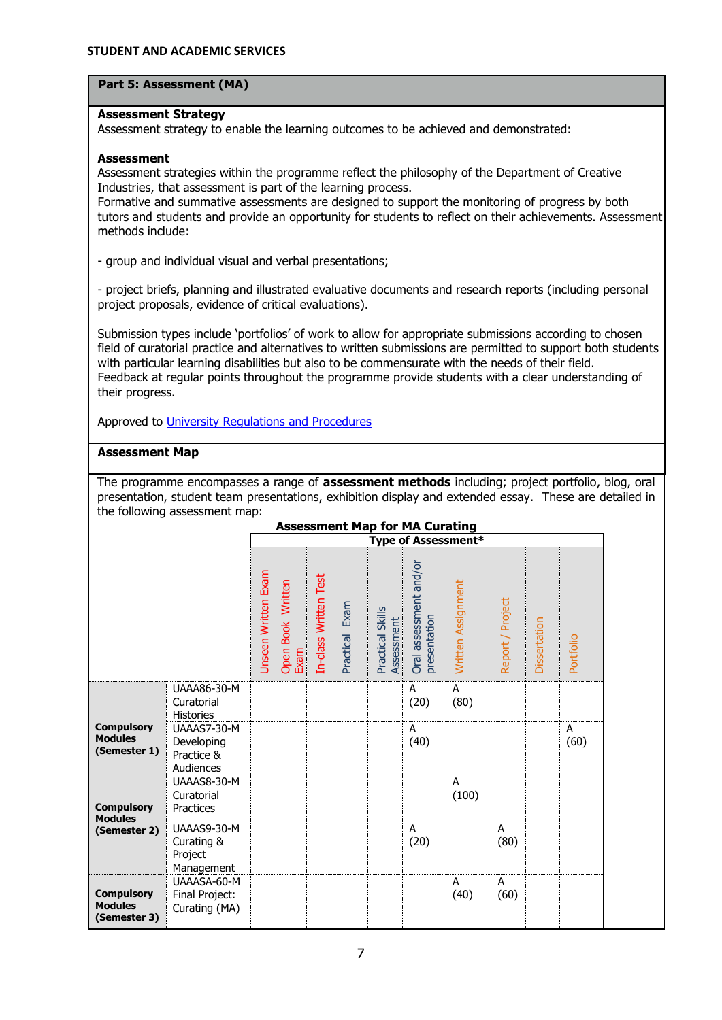### **Part 5: Assessment (MA)**

#### **Assessment Strategy**

Assessment strategy to enable the learning outcomes to be achieved and demonstrated:

#### **Assessment**

Assessment strategies within the programme reflect the philosophy of the Department of Creative Industries, that assessment is part of the learning process.

Formative and summative assessments are designed to support the monitoring of progress by both tutors and students and provide an opportunity for students to reflect on their achievements. Assessment methods include:

- group and individual visual and verbal presentations;

- project briefs, planning and illustrated evaluative documents and research reports (including personal project proposals, evidence of critical evaluations).

Submission types include 'portfolios' of work to allow for appropriate submissions according to chosen field of curatorial practice and alternatives to written submissions are permitted to support both students with particular learning disabilities but also to be commensurate with the needs of their field. Feedback at regular points throughout the programme provide students with a clear understanding of their progress.

Approved to [University Regulations and Procedures](http://www1.uwe.ac.uk/students/academicadvice/assessments/regulationsandprocedures.aspx)

### **Assessment Map**

The programme encompasses a range of **assessment methods** including; project portfolio, blog, oral presentation, student team presentations, exhibition display and extended essay. These are detailed in the following assessment map:

|                                                     |                                                      |                            |                           |                       |                |                                | <b>Assessment Map for MA Curating</b>  |                            |                  |              |           |
|-----------------------------------------------------|------------------------------------------------------|----------------------------|---------------------------|-----------------------|----------------|--------------------------------|----------------------------------------|----------------------------|------------------|--------------|-----------|
|                                                     |                                                      |                            |                           |                       |                |                                |                                        | <b>Type of Assessment*</b> |                  |              |           |
|                                                     |                                                      | <b>Unseen Written Exam</b> | Open Book Written<br>Exam | In-class Written Test | Practical Exam | Practical Skills<br>Assessment | Oral assessment and/or<br>presentation | Written Assignment         | Report / Project | Dissertation | Portfolio |
|                                                     | UAAA86-30-M<br>Curatorial<br><b>Histories</b>        |                            |                           |                       |                |                                | A<br>(20)                              | A<br>(80)                  |                  |              |           |
| <b>Compulsory</b><br><b>Modules</b><br>(Semester 1) | UAAAS7-30-M<br>Developing<br>Practice &<br>Audiences |                            |                           |                       |                |                                | A<br>(40)                              |                            |                  |              | A<br>(60) |
| <b>Compulsory</b><br><b>Modules</b>                 | UAAAS8-30-M<br>Curatorial<br>Practices               |                            |                           |                       |                |                                |                                        | A<br>(100)                 |                  |              |           |
| (Semester 2)                                        | UAAAS9-30-M<br>Curating &<br>Project<br>Management   |                            |                           |                       |                |                                | A<br>(20)                              |                            | A<br>(80)        |              |           |
| <b>Compulsory</b><br><b>Modules</b><br>(Semester 3) | UAAASA-60-M<br>Final Project:<br>Curating (MA)       |                            |                           |                       |                |                                |                                        | A<br>(40)                  | A<br>(60)        |              |           |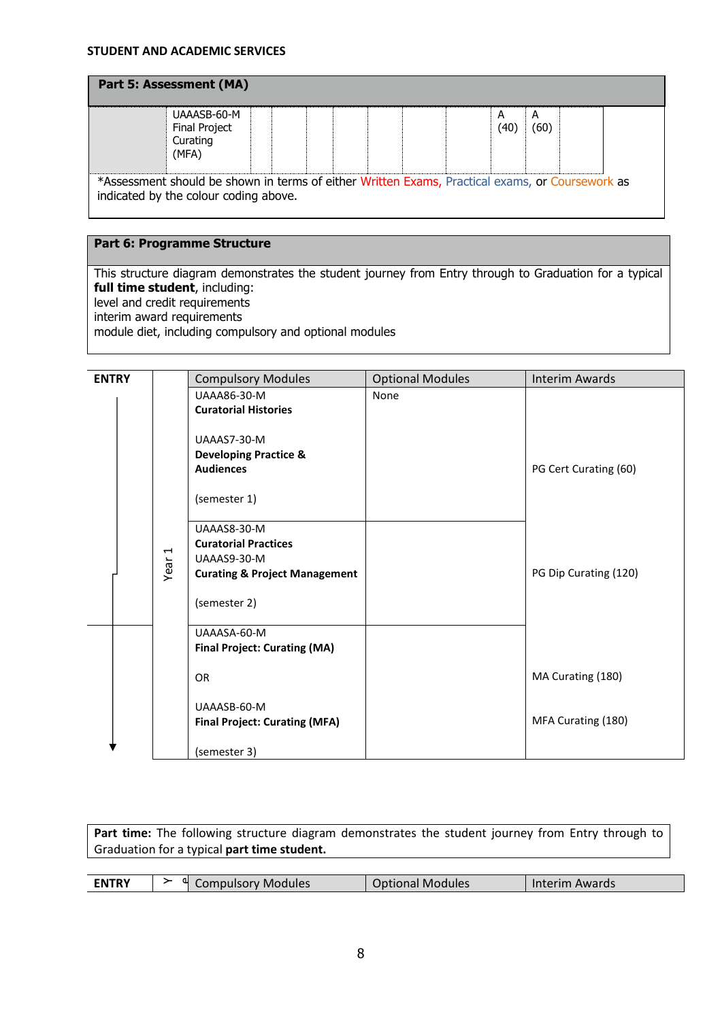### **STUDENT AND ACADEMIC SERVICES**

| UAAASB-60-M<br>Final Project<br>Curating<br>(MFA)                                                                                        |  |  | А<br>(40 | А<br>(60) |  |
|------------------------------------------------------------------------------------------------------------------------------------------|--|--|----------|-----------|--|
| *Assessment should be shown in terms of either Written Exams, Practical exams, or Coursework as<br>indicated by the colour coding above. |  |  |          |           |  |

# **Part 6: Programme Structure**

This structure diagram demonstrates the student journey from Entry through to Graduation for a typical **full time student**, including: level and credit requirements interim award requirements module diet, including compulsory and optional modules

| <b>UAAA86-30-M</b><br>None<br><b>Curatorial Histories</b>                 |  |
|---------------------------------------------------------------------------|--|
|                                                                           |  |
|                                                                           |  |
|                                                                           |  |
| UAAAS7-30-M                                                               |  |
| <b>Developing Practice &amp;</b><br><b>Audiences</b>                      |  |
| PG Cert Curating (60)                                                     |  |
| (semester 1)                                                              |  |
|                                                                           |  |
| UAAAS8-30-M                                                               |  |
| <b>Curatorial Practices</b>                                               |  |
| $\blacktriangleleft$<br>UAAAS9-30-M                                       |  |
| Year<br>PG Dip Curating (120)<br><b>Curating &amp; Project Management</b> |  |
|                                                                           |  |
| (semester 2)                                                              |  |
| UAAASA-60-M                                                               |  |
| <b>Final Project: Curating (MA)</b>                                       |  |
|                                                                           |  |
| MA Curating (180)<br><b>OR</b>                                            |  |
|                                                                           |  |
| UAAASB-60-M                                                               |  |
| MFA Curating (180)<br><b>Final Project: Curating (MFA)</b>                |  |
| (semester 3)                                                              |  |

Part time: The following structure diagram demonstrates the student journey from Entry through to Graduation for a typical **part time student.**

| CNITDV<br>ΞN | a1 | Compulsory Modules | Dptional Modules<br><b>ODLIONAL</b> | Interim Awards |
|--------------|----|--------------------|-------------------------------------|----------------|
|--------------|----|--------------------|-------------------------------------|----------------|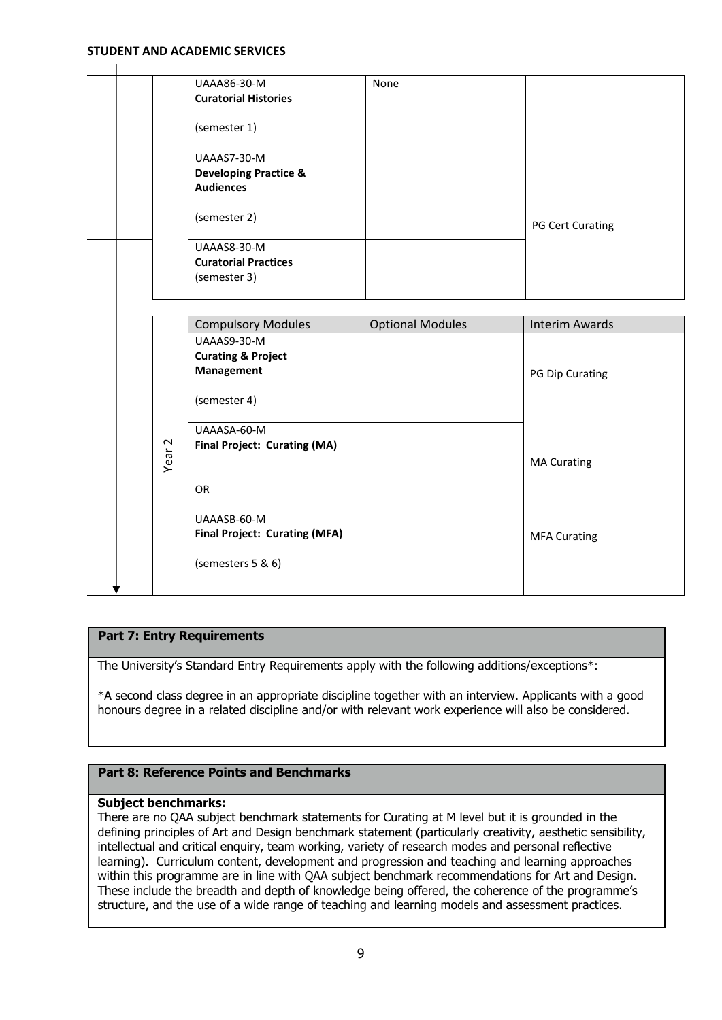#### **STUDENT AND ACADEMIC SERVICES**

|                   | UAAA86-30-M                          | None                    |                       |
|-------------------|--------------------------------------|-------------------------|-----------------------|
|                   | <b>Curatorial Histories</b>          |                         |                       |
|                   | (semester 1)                         |                         |                       |
|                   | UAAAS7-30-M                          |                         |                       |
|                   | <b>Developing Practice &amp;</b>     |                         |                       |
|                   | <b>Audiences</b>                     |                         |                       |
|                   | (semester 2)                         |                         | PG Cert Curating      |
|                   | UAAAS8-30-M                          |                         |                       |
|                   | <b>Curatorial Practices</b>          |                         |                       |
|                   | (semester 3)                         |                         |                       |
|                   |                                      |                         |                       |
|                   |                                      |                         |                       |
|                   | <b>Compulsory Modules</b>            | <b>Optional Modules</b> | <b>Interim Awards</b> |
|                   | UAAAS9-30-M                          |                         |                       |
|                   | <b>Curating &amp; Project</b>        |                         |                       |
|                   | <b>Management</b>                    |                         | PG Dip Curating       |
|                   | (semester 4)                         |                         |                       |
|                   | UAAASA-60-M                          |                         |                       |
|                   | <b>Final Project: Curating (MA)</b>  |                         |                       |
| Year <sub>2</sub> |                                      |                         | <b>MA Curating</b>    |
|                   |                                      |                         |                       |
|                   | <b>OR</b>                            |                         |                       |
|                   | UAAASB-60-M                          |                         |                       |
|                   | <b>Final Project: Curating (MFA)</b> |                         | <b>MFA Curating</b>   |
|                   |                                      |                         |                       |
|                   |                                      |                         |                       |
|                   |                                      |                         |                       |
|                   | (semesters 5 & 6)                    |                         |                       |

### **Part 7: Entry Requirements**

The University's Standard Entry Requirements apply with the following additions/exceptions\*:

\*A second class degree in an appropriate discipline together with an interview. Applicants with a good honours degree in a related discipline and/or with relevant work experience will also be considered.

### **Part 8: Reference Points and Benchmarks**

# **Subject benchmarks:**

There are no QAA subject benchmark statements for Curating at M level but it is grounded in the defining principles of Art and Design benchmark statement (particularly creativity, aesthetic sensibility, intellectual and critical enquiry, team working, variety of research modes and personal reflective learning). Curriculum content, development and progression and teaching and learning approaches within this programme are in line with QAA subject benchmark recommendations for Art and Design. These include the breadth and depth of knowledge being offered, the coherence of the programme's structure, and the use of a wide range of teaching and learning models and assessment practices.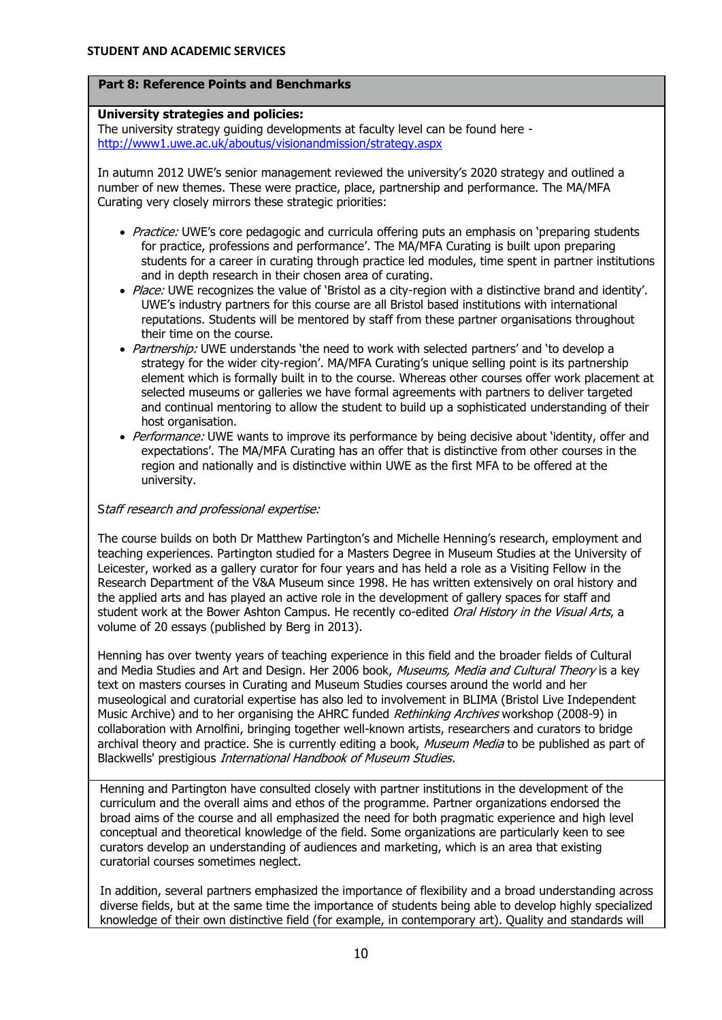## **Part 8: Reference Points and Benchmarks**

## **University strategies and policies:**

The university strategy guiding developments at faculty level can be found here <http://www1.uwe.ac.uk/aboutus/visionandmission/strategy.aspx>

In autumn 2012 UWE's senior management reviewed the university's 2020 strategy and outlined a number of new themes. These were practice, place, partnership and performance. The MA/MFA Curating very closely mirrors these strategic priorities:

- Practice: UWE's core pedagogic and curricula offering puts an emphasis on 'preparing students for practice, professions and performance'. The MA/MFA Curating is built upon preparing students for a career in curating through practice led modules, time spent in partner institutions and in depth research in their chosen area of curating.
- Place: UWE recognizes the value of 'Bristol as a city-region with a distinctive brand and identity'. UWE's industry partners for this course are all Bristol based institutions with international reputations. Students will be mentored by staff from these partner organisations throughout their time on the course.
- Partnership: UWE understands 'the need to work with selected partners' and 'to develop a strategy for the wider city-region'. MA/MFA Curating's unique selling point is its partnership element which is formally built in to the course. Whereas other courses offer work placement at selected museums or galleries we have formal agreements with partners to deliver targeted and continual mentoring to allow the student to build up a sophisticated understanding of their host organisation.
- Performance: UWE wants to improve its performance by being decisive about 'identity, offer and expectations'. The MA/MFA Curating has an offer that is distinctive from other courses in the region and nationally and is distinctive within UWE as the first MFA to be offered at the university.

### Staff research and professional expertise:

The course builds on both Dr Matthew Partington's and Michelle Henning's research, employment and teaching experiences. Partington studied for a Masters Degree in Museum Studies at the University of Leicester, worked as a gallery curator for four years and has held a role as a Visiting Fellow in the Research Department of the V&A Museum since 1998. He has written extensively on oral history and the applied arts and has played an active role in the development of gallery spaces for staff and student work at the Bower Ashton Campus. He recently co-edited Oral History in the Visual Arts, a volume of 20 essays (published by Berg in 2013).

Henning has over twenty years of teaching experience in this field and the broader fields of Cultural and Media Studies and Art and Design. Her 2006 book, Museums, Media and Cultural Theory is a key text on masters courses in Curating and Museum Studies courses around the world and her museological and curatorial expertise has also led to involvement in BLIMA (Bristol Live Independent Music Archive) and to her organising the AHRC funded *Rethinking Archives* workshop (2008-9) in collaboration with Arnolfini, bringing together well-known artists, researchers and curators to bridge archival theory and practice. She is currently editing a book, Museum Media to be published as part of Blackwells' prestigious International Handbook of Museum Studies.

Henning and Partington have consulted closely with partner institutions in the development of the curriculum and the overall aims and ethos of the programme. Partner organizations endorsed the broad aims of the course and all emphasized the need for both pragmatic experience and high level conceptual and theoretical knowledge of the field. Some organizations are particularly keen to see curators develop an understanding of audiences and marketing, which is an area that existing curatorial courses sometimes neglect.

In addition, several partners emphasized the importance of flexibility and a broad understanding across diverse fields, but at the same time the importance of students being able to develop highly specialized knowledge of their own distinctive field (for example, in contemporary art). Quality and standards will